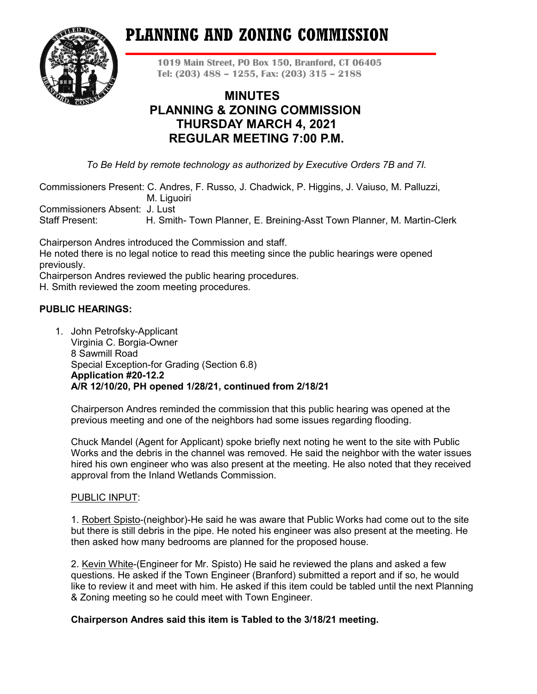# **PLANNING AND ZONING COMMISSION**



**1019 Main Street, PO Box 150, Branford, CT 06405 Tel: (203) 488 – 1255, Fax: (203) 315 – 2188**

## **MINUTES PLANNING & ZONING COMMISSION THURSDAY MARCH 4, 2021 REGULAR MEETING 7:00 P.M.**

*To Be Held by remote technology as authorized by Executive Orders 7B and 7I.*

Commissioners Present: C. Andres, F. Russo, J. Chadwick, P. Higgins, J. Vaiuso, M. Palluzzi, M. Liguoiri Commissioners Absent: J. Lust Staff Present: H. Smith- Town Planner, E. Breining-Asst Town Planner, M. Martin-Clerk

Chairperson Andres introduced the Commission and staff. He noted there is no legal notice to read this meeting since the public hearings were opened previously.

Chairperson Andres reviewed the public hearing procedures.

H. Smith reviewed the zoom meeting procedures.

## **PUBLIC HEARINGS:**

1. John Petrofsky-Applicant Virginia C. Borgia-Owner 8 Sawmill Road Special Exception-for Grading (Section 6.8) **Application #20-12.2 A/R 12/10/20, PH opened 1/28/21, continued from 2/18/21**

Chairperson Andres reminded the commission that this public hearing was opened at the previous meeting and one of the neighbors had some issues regarding flooding.

Chuck Mandel (Agent for Applicant) spoke briefly next noting he went to the site with Public Works and the debris in the channel was removed. He said the neighbor with the water issues hired his own engineer who was also present at the meeting. He also noted that they received approval from the Inland Wetlands Commission.

#### PUBLIC INPUT:

1. Robert Spisto-(neighbor)-He said he was aware that Public Works had come out to the site but there is still debris in the pipe. He noted his engineer was also present at the meeting. He then asked how many bedrooms are planned for the proposed house.

2. Kevin White-(Engineer for Mr. Spisto) He said he reviewed the plans and asked a few questions. He asked if the Town Engineer (Branford) submitted a report and if so, he would like to review it and meet with him. He asked if this item could be tabled until the next Planning & Zoning meeting so he could meet with Town Engineer.

## **Chairperson Andres said this item is Tabled to the 3/18/21 meeting.**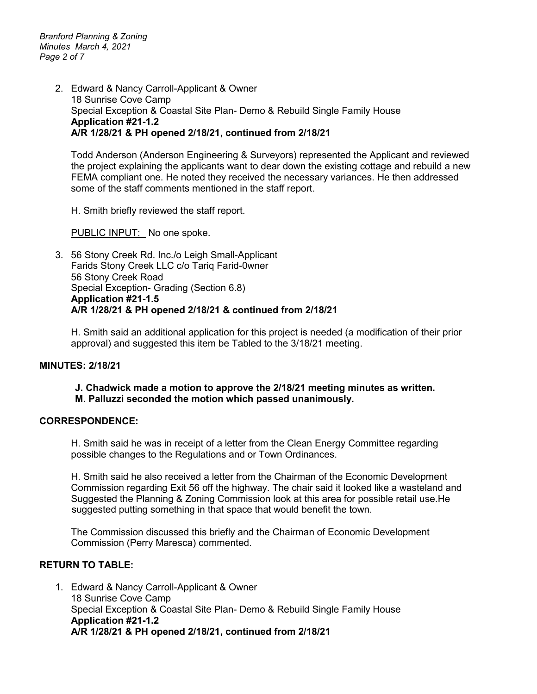*Branford Planning & Zoning Minutes March 4, 2021 Page 2 of 7*

> 2. Edward & Nancy Carroll-Applicant & Owner 18 Sunrise Cove Camp Special Exception & Coastal Site Plan- Demo & Rebuild Single Family House **Application #21-1.2 A/R 1/28/21 & PH opened 2/18/21, continued from 2/18/21**

Todd Anderson (Anderson Engineering & Surveyors) represented the Applicant and reviewed the project explaining the applicants want to dear down the existing cottage and rebuild a new FEMA compliant one. He noted they received the necessary variances. He then addressed some of the staff comments mentioned in the staff report.

H. Smith briefly reviewed the staff report.

PUBLIC INPUT: No one spoke.

3. 56 Stony Creek Rd. Inc./o Leigh Small-Applicant Farids Stony Creek LLC c/o Tariq Farid-0wner 56 Stony Creek Road Special Exception- Grading (Section 6.8) **Application #21-1.5 A/R 1/28/21 & PH opened 2/18/21 & continued from 2/18/21**

H. Smith said an additional application for this project is needed (a modification of their prior approval) and suggested this item be Tabled to the 3/18/21 meeting.

#### **MINUTES: 2/18/21**

#### **J. Chadwick made a motion to approve the 2/18/21 meeting minutes as written. M. Palluzzi seconded the motion which passed unanimously.**

#### **CORRESPONDENCE:**

H. Smith said he was in receipt of a letter from the Clean Energy Committee regarding possible changes to the Regulations and or Town Ordinances.

H. Smith said he also received a letter from the Chairman of the Economic Development Commission regarding Exit 56 off the highway. The chair said it looked like a wasteland and Suggested the Planning & Zoning Commission look at this area for possible retail use.He suggested putting something in that space that would benefit the town.

The Commission discussed this briefly and the Chairman of Economic Development Commission (Perry Maresca) commented.

#### **RETURN TO TABLE:**

1. Edward & Nancy Carroll-Applicant & Owner 18 Sunrise Cove Camp Special Exception & Coastal Site Plan- Demo & Rebuild Single Family House **Application #21-1.2 A/R 1/28/21 & PH opened 2/18/21, continued from 2/18/21**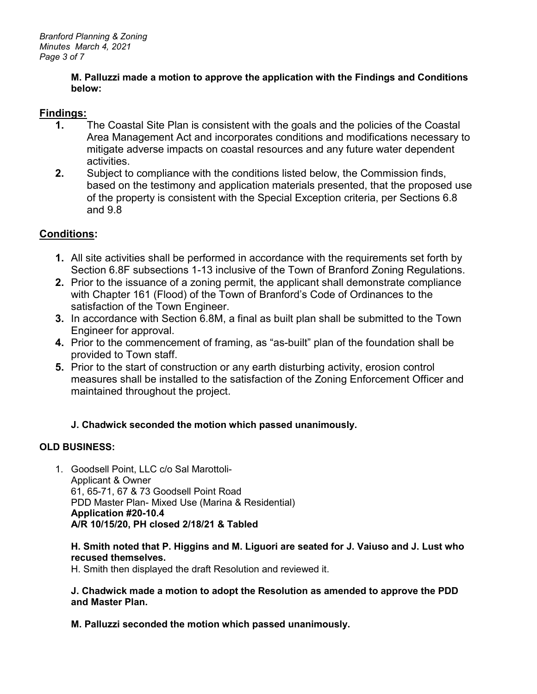*Branford Planning & Zoning Minutes March 4, 2021 Page 3 of 7*

#### **M. Palluzzi made a motion to approve the application with the Findings and Conditions below:**

## **Findings:**

- **1.** The Coastal Site Plan is consistent with the goals and the policies of the Coastal Area Management Act and incorporates conditions and modifications necessary to mitigate adverse impacts on coastal resources and any future water dependent activities.
- **2.** Subject to compliance with the conditions listed below, the Commission finds, based on the testimony and application materials presented, that the proposed use of the property is consistent with the Special Exception criteria, per Sections 6.8 and 9.8

## **Conditions:**

- **1.** All site activities shall be performed in accordance with the requirements set forth by Section 6.8F subsections 1-13 inclusive of the Town of Branford Zoning Regulations.
- **2.** Prior to the issuance of a zoning permit, the applicant shall demonstrate compliance with Chapter 161 (Flood) of the Town of Branford's Code of Ordinances to the satisfaction of the Town Engineer.
- **3.** In accordance with Section 6.8M, a final as built plan shall be submitted to the Town Engineer for approval.
- **4.** Prior to the commencement of framing, as "as-built" plan of the foundation shall be provided to Town staff.
- **5.** Prior to the start of construction or any earth disturbing activity, erosion control measures shall be installed to the satisfaction of the Zoning Enforcement Officer and maintained throughout the project.

## **J. Chadwick seconded the motion which passed unanimously.**

## **OLD BUSINESS:**

1. Goodsell Point, LLC c/o Sal Marottoli-Applicant & Owner 61, 65-71, 67 & 73 Goodsell Point Road PDD Master Plan- Mixed Use (Marina & Residential) **Application #20-10.4 A/R 10/15/20, PH closed 2/18/21 & Tabled**

#### **H. Smith noted that P. Higgins and M. Liguori are seated for J. Vaiuso and J. Lust who recused themselves.**

H. Smith then displayed the draft Resolution and reviewed it.

**J. Chadwick made a motion to adopt the Resolution as amended to approve the PDD and Master Plan.**

**M. Palluzzi seconded the motion which passed unanimously.**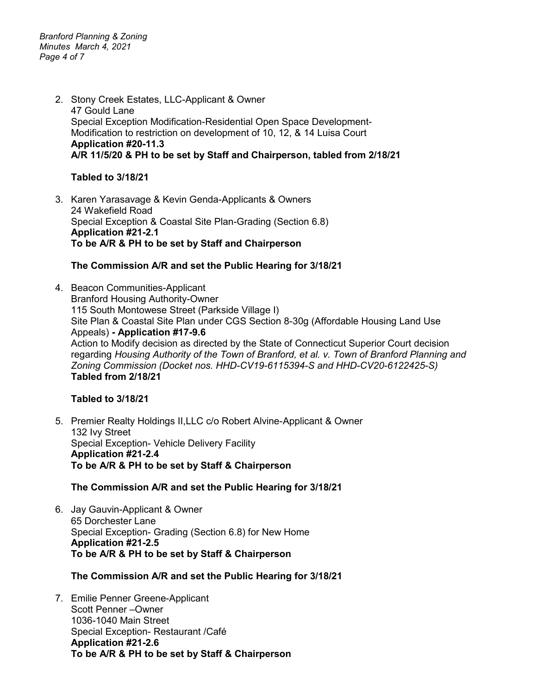*Branford Planning & Zoning Minutes March 4, 2021 Page 4 of 7*

> 2. Stony Creek Estates, LLC-Applicant & Owner 47 Gould Lane Special Exception Modification-Residential Open Space Development-Modification to restriction on development of 10, 12, & 14 Luisa Court **Application #20-11.3 A/R 11/5/20 & PH to be set by Staff and Chairperson, tabled from 2/18/21**

**Tabled to 3/18/21**

3. Karen Yarasavage & Kevin Genda-Applicants & Owners 24 Wakefield Road Special Exception & Coastal Site Plan-Grading (Section 6.8) **Application #21-2.1 To be A/R & PH to be set by Staff and Chairperson**

## **The Commission A/R and set the Public Hearing for 3/18/21**

4. Beacon Communities-Applicant Branford Housing Authority-Owner 115 South Montowese Street (Parkside Village I) Site Plan & Coastal Site Plan under CGS Section 8-30g (Affordable Housing Land Use Appeals) **- Application #17-9.6** Action to Modify decision as directed by the State of Connecticut Superior Court decision regarding *Housing Authority of the Town of Branford, et al. v. Town of Branford Planning and Zoning Commission (Docket nos. HHD-CV19-6115394-S and HHD-CV20-6122425-S)* **Tabled from 2/18/21**

## **Tabled to 3/18/21**

5. Premier Realty Holdings II,LLC c/o Robert Alvine-Applicant & Owner 132 Ivy Street Special Exception- Vehicle Delivery Facility **Application #21-2.4 To be A/R & PH to be set by Staff & Chairperson**

## **The Commission A/R and set the Public Hearing for 3/18/21**

- 6. Jay Gauvin-Applicant & Owner 65 Dorchester Lane Special Exception- Grading (Section 6.8) for New Home **Application #21-2.5 To be A/R & PH to be set by Staff & Chairperson**
	- **The Commission A/R and set the Public Hearing for 3/18/21**
- 7. Emilie Penner Greene-Applicant Scott Penner –Owner 1036-1040 Main Street Special Exception- Restaurant /Café **Application #21-2.6 To be A/R & PH to be set by Staff & Chairperson**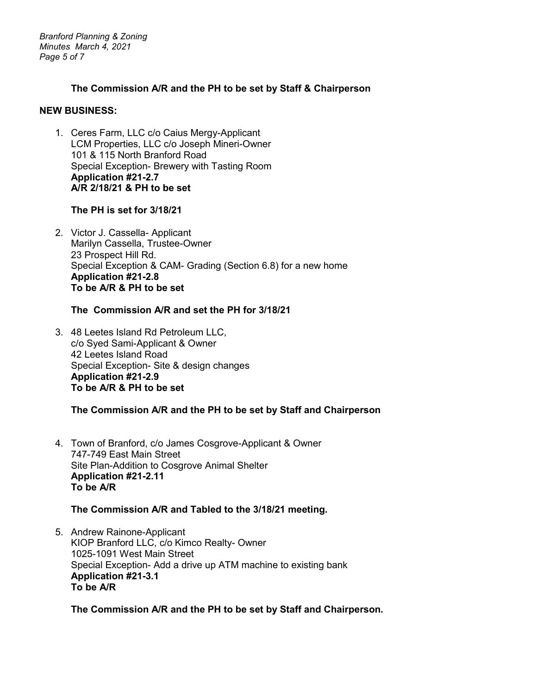*Branford Planning & Zoning Minutes March 4, 2021 Page 5 of 7*

#### **The Commission A/R and the PH to be set by Staff & Chairperson**

#### **NEW BUSINESS:**

1. Ceres Farm, LLC c/o Caius Mergy-Applicant LCM Properties, LLC c/o Joseph Mineri-Owner 101 & 115 North Branford Road Special Exception- Brewery with Tasting Room **Application #21-2.7 A/R 2/18/21 & PH to be set**

#### **The PH is set for 3/18/21**

2. Victor J. Cassella- Applicant Marilyn Cassella, Trustee-Owner 23 Prospect Hill Rd. Special Exception & CAM- Grading (Section 6.8) for a new home **Application #21-2.8 To be A/R & PH to be set**

#### **The Commission A/R and set the PH for 3/18/21**

3. 48 Leetes Island Rd Petroleum LLC, c/o Syed Sami-Applicant & Owner 42 Leetes Island Road Special Exception- Site & design changes **Application #21-2.9 To be A/R & PH to be set** 

#### **The Commission A/R and the PH to be set by Staff and Chairperson**

4. Town of Branford, c/o James Cosgrove-Applicant & Owner 747-749 East Main Street Site Plan-Addition to Cosgrove Animal Shelter **Application #21-2.11 To be A/R**

#### **The Commission A/R and Tabled to the 3/18/21 meeting.**

5. Andrew Rainone-Applicant KIOP Branford LLC, c/o Kimco Realty- Owner 1025-1091 West Main Street Special Exception- Add a drive up ATM machine to existing bank **Application #21-3.1 To be A/R**

**The Commission A/R and the PH to be set by Staff and Chairperson.**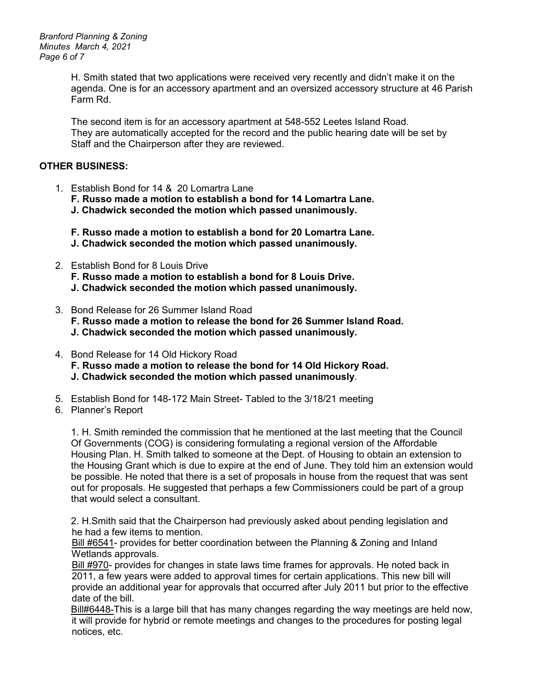*Branford Planning & Zoning Minutes March 4, 2021 Page 6 of 7*

> H. Smith stated that two applications were received very recently and didn't make it on the agenda. One is for an accessory apartment and an oversized accessory structure at 46 Parish Farm Rd.

The second item is for an accessory apartment at 548-552 Leetes Island Road. They are automatically accepted for the record and the public hearing date will be set by Staff and the Chairperson after they are reviewed.

#### **OTHER BUSINESS:**

- 1. Establish Bond for 14 & 20 Lomartra Lane
	- **F. Russo made a motion to establish a bond for 14 Lomartra Lane.**
	- **J. Chadwick seconded the motion which passed unanimously.**
	- **F. Russo made a motion to establish a bond for 20 Lomartra Lane. J. Chadwick seconded the motion which passed unanimously.**
- 2. Establish Bond for 8 Louis Drive **F. Russo made a motion to establish a bond for 8 Louis Drive. J. Chadwick seconded the motion which passed unanimously.**
- 3. Bond Release for 26 Summer Island Road **F. Russo made a motion to release the bond for 26 Summer Island Road. J. Chadwick seconded the motion which passed unanimously.**
- 4. Bond Release for 14 Old Hickory Road **F. Russo made a motion to release the bond for 14 Old Hickory Road. J. Chadwick seconded the motion which passed unanimously**.
- 5. Establish Bond for 148-172 Main Street- Tabled to the 3/18/21 meeting
- 6. Planner's Report

1. H. Smith reminded the commission that he mentioned at the last meeting that the Council Of Governments (COG) is considering formulating a regional version of the Affordable Housing Plan. H. Smith talked to someone at the Dept. of Housing to obtain an extension to the Housing Grant which is due to expire at the end of June. They told him an extension would be possible. He noted that there is a set of proposals in house from the request that was sent out for proposals. He suggested that perhaps a few Commissioners could be part of a group that would select a consultant.

2. H.Smith said that the Chairperson had previously asked about pending legislation and he had a few items to mention.

 Bill #6541- provides for better coordination between the Planning & Zoning and Inland Wetlands approvals.

 Bill #970- provides for changes in state laws time frames for approvals. He noted back in 2011, a few years were added to approval times for certain applications. This new bill will provide an additional year for approvals that occurred after July 2011 but prior to the effective date of the bill.

Bill#6448-This is a large bill that has many changes regarding the way meetings are held now, it will provide for hybrid or remote meetings and changes to the procedures for posting legal notices, etc.